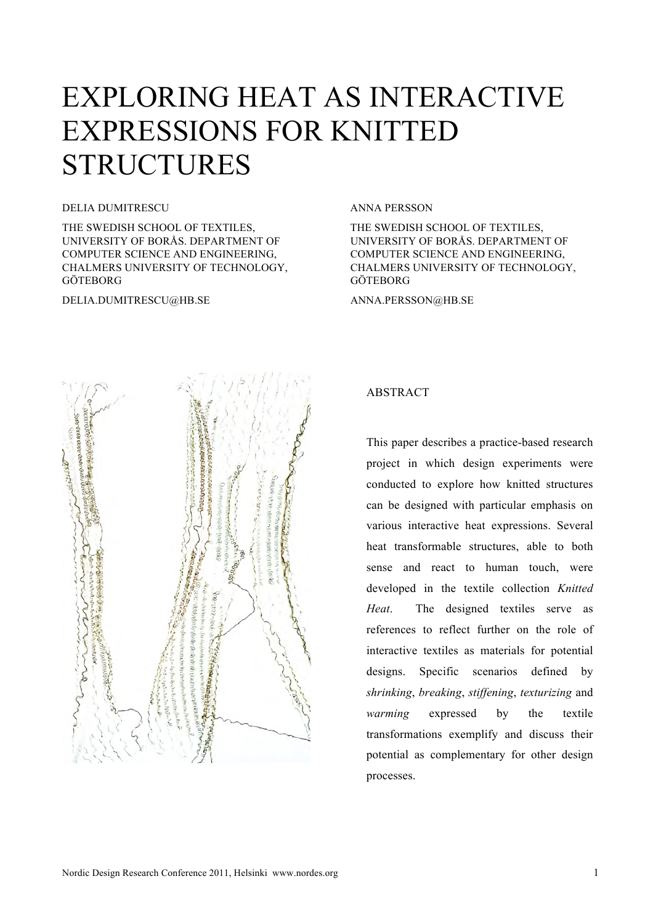# EXPLORING HEAT AS INTERACTIVE EXPRESSIONS FOR KNITTED **STRUCTURES**

#### DELIA DUMITRESCU

THE SWEDISH SCHOOL OF TEXTILES, UNIVERSITY OF BORÅS. DEPARTMENT OF COMPUTER SCIENCE AND ENGINEERING, CHALMERS UNIVERSITY OF TECHNOLOGY, GÖTEBORG

DELIA.DUMITRESCU@HB.SE

#### ANNA PERSSON

THE SWEDISH SCHOOL OF TEXTILES, UNIVERSITY OF BORÅS. DEPARTMENT OF COMPUTER SCIENCE AND ENGINEERING, CHALMERS UNIVERSITY OF TECHNOLOGY, GÖTEBORG

ANNA.PERSSON@HB.SE



## ABSTRACT

This paper describes a practice-based research project in which design experiments were conducted to explore how knitted structures can be designed with particular emphasis on various interactive heat expressions. Several heat transformable structures, able to both sense and react to human touch, were developed in the textile collection *Knitted Heat*. The designed textiles serve as references to reflect further on the role of interactive textiles as materials for potential designs. Specific scenarios defined by *shrinking*, *breaking*, *stiffening*, *texturizing* and *warming* expressed by the textile transformations exemplify and discuss their potential as complementary for other design processes.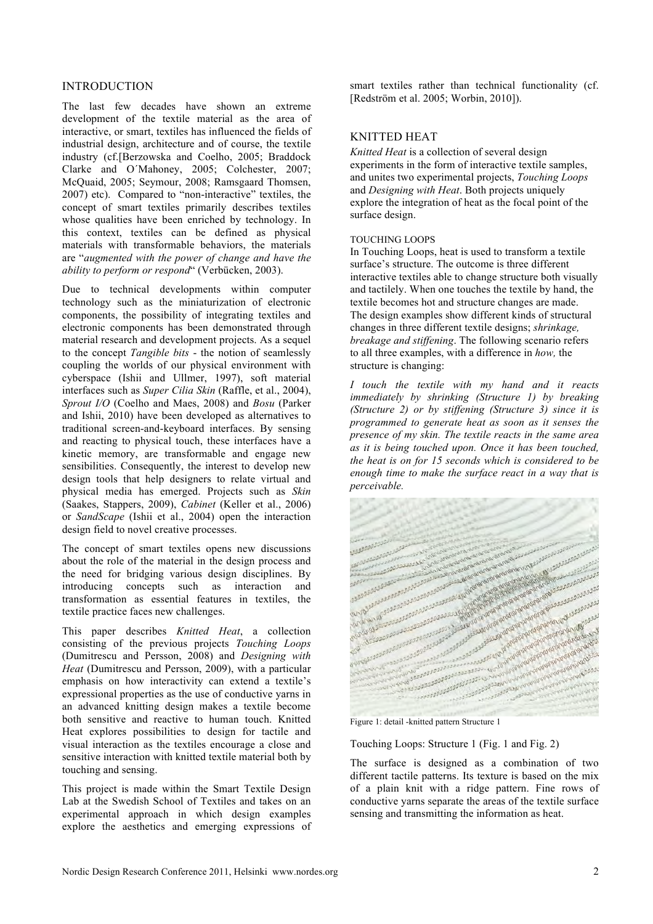## INTRODUCTION

The last few decades have shown an extreme development of the textile material as the area of interactive, or smart, textiles has influenced the fields of industrial design, architecture and of course, the textile industry (cf.[Berzowska and Coelho, 2005; Braddock Clarke and O´Mahoney, 2005; Colchester, 2007; McQuaid, 2005; Seymour, 2008; Ramsgaard Thomsen, 2007) etc). Compared to "non-interactive" textiles, the concept of smart textiles primarily describes textiles whose qualities have been enriched by technology. In this context, textiles can be defined as physical materials with transformable behaviors, the materials are "*augmented with the power of change and have the ability to perform or respond*" (Verbücken, 2003).

Due to technical developments within computer technology such as the miniaturization of electronic components, the possibility of integrating textiles and electronic components has been demonstrated through material research and development projects. As a sequel to the concept *Tangible bits* - the notion of seamlessly coupling the worlds of our physical environment with cyberspace (Ishii and Ullmer, 1997), soft material interfaces such as *Super Cilia Skin* (Raffle, et al., 2004), *Sprout I/O* (Coelho and Maes, 2008) and *Bosu* (Parker and Ishii, 2010) have been developed as alternatives to traditional screen-and-keyboard interfaces. By sensing and reacting to physical touch, these interfaces have a kinetic memory, are transformable and engage new sensibilities. Consequently, the interest to develop new design tools that help designers to relate virtual and physical media has emerged. Projects such as *Skin* (Saakes, Stappers, 2009), *Cabinet* (Keller et al., 2006) or *SandScape* (Ishii et al., 2004) open the interaction design field to novel creative processes.

The concept of smart textiles opens new discussions about the role of the material in the design process and the need for bridging various design disciplines. By introducing concepts such as interaction and transformation as essential features in textiles, the textile practice faces new challenges.

This paper describes *Knitted Heat*, a collection consisting of the previous projects *Touching Loops* (Dumitrescu and Persson, 2008) and *Designing with Heat* (Dumitrescu and Persson, 2009), with a particular emphasis on how interactivity can extend a textile's expressional properties as the use of conductive yarns in an advanced knitting design makes a textile become both sensitive and reactive to human touch. Knitted Heat explores possibilities to design for tactile and visual interaction as the textiles encourage a close and sensitive interaction with knitted textile material both by touching and sensing.

This project is made within the Smart Textile Design Lab at the Swedish School of Textiles and takes on an experimental approach in which design examples explore the aesthetics and emerging expressions of smart textiles rather than technical functionality (cf. [Redström et al. 2005; Worbin, 2010]).

## KNITTED HEAT

*Knitted Heat* is a collection of several design experiments in the form of interactive textile samples, and unites two experimental projects, *Touching Loops* and *Designing with Heat*. Both projects uniquely explore the integration of heat as the focal point of the surface design.

### TOUCHING LOOPS

In Touching Loops, heat is used to transform a textile surface's structure. The outcome is three different interactive textiles able to change structure both visually and tactilely. When one touches the textile by hand, the textile becomes hot and structure changes are made. The design examples show different kinds of structural changes in three different textile designs; *shrinkage, breakage and stiffening*. The following scenario refers to all three examples, with a difference in *how,* the structure is changing:

*I touch the textile with my hand and it reacts immediately by shrinking (Structure 1) by breaking (Structure 2) or by stiffening (Structure 3) since it is programmed to generate heat as soon as it senses the presence of my skin. The textile reacts in the same area as it is being touched upon. Once it has been touched, the heat is on for 15 seconds which is considered to be enough time to make the surface react in a way that is perceivable.*



Touching Loops: Structure 1 (Fig. 1 and Fig. 2)

The surface is designed as a combination of two different tactile patterns. Its texture is based on the mix of a plain knit with a ridge pattern. Fine rows of conductive yarns separate the areas of the textile surface sensing and transmitting the information as heat.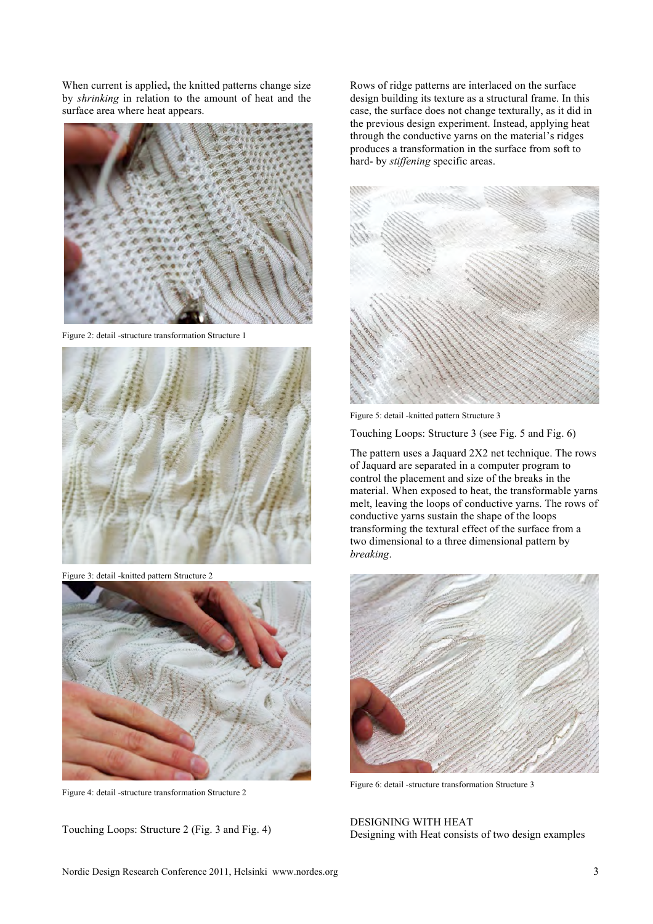When current is applied**,** the knitted patterns change size by *shrinking* in relation to the amount of heat and the surface area where heat appears.



Figure 2: detail -structure transformation Structure 1



Figure 3: detail -knitted pattern Structure 2



Figure 4: detail -structure transformation Structure 2

Touching Loops: Structure 2 (Fig. 3 and Fig. 4)

Rows of ridge patterns are interlaced on the surface design building its texture as a structural frame. In this case, the surface does not change texturally, as it did in the previous design experiment. Instead, applying heat through the conductive yarns on the material's ridges produces a transformation in the surface from soft to hard- by *stiffening* specific areas.



Figure 5: detail -knitted pattern Structure 3

Touching Loops: Structure 3 (see Fig. 5 and Fig. 6)

The pattern uses a Jaquard 2X2 net technique. The rows of Jaquard are separated in a computer program to control the placement and size of the breaks in the material. When exposed to heat, the transformable yarns melt, leaving the loops of conductive yarns. The rows of conductive yarns sustain the shape of the loops transforming the textural effect of the surface from a two dimensional to a three dimensional pattern by *breaking*.



Figure 6: detail -structure transformation Structure 3

DESIGNING WITH HEAT Designing with Heat consists of two design examples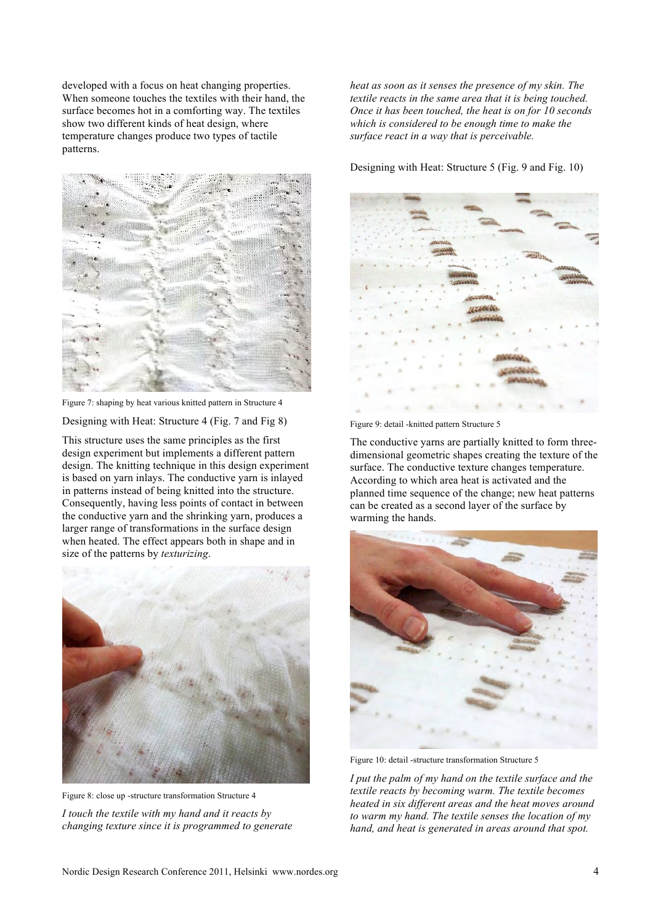developed with a focus on heat changing properties. When someone touches the textiles with their hand, the surface becomes hot in a comforting way. The textiles show two different kinds of heat design, where temperature changes produce two types of tactile patterns.



Figure 7: shaping by heat various knitted pattern in Structure 4

Designing with Heat: Structure 4 (Fig. 7 and Fig 8)

This structure uses the same principles as the first design experiment but implements a different pattern design. The knitting technique in this design experiment is based on yarn inlays. The conductive yarn is inlayed in patterns instead of being knitted into the structure. Consequently, having less points of contact in between the conductive yarn and the shrinking yarn, produces a larger range of transformations in the surface design when heated. The effect appears both in shape and in size of the patterns by *texturizing*.



Figure 8: close up -structure transformation Structure 4 *I touch the textile with my hand and it reacts by changing texture since it is programmed to generate* 

*heat as soon as it senses the presence of my skin. The textile reacts in the same area that it is being touched. Once it has been touched, the heat is on for 10 seconds which is considered to be enough time to make the surface react in a way that is perceivable.* 

Designing with Heat: Structure 5 (Fig. 9 and Fig. 10)



Figure 9: detail -knitted pattern Structure 5

The conductive yarns are partially knitted to form threedimensional geometric shapes creating the texture of the surface. The conductive texture changes temperature. According to which area heat is activated and the planned time sequence of the change; new heat patterns can be created as a second layer of the surface by warming the hands.



Figure 10: detail -structure transformation Structure 5

*I put the palm of my hand on the textile surface and the textile reacts by becoming warm. The textile becomes heated in six different areas and the heat moves around to warm my hand. The textile senses the location of my hand, and heat is generated in areas around that spot.*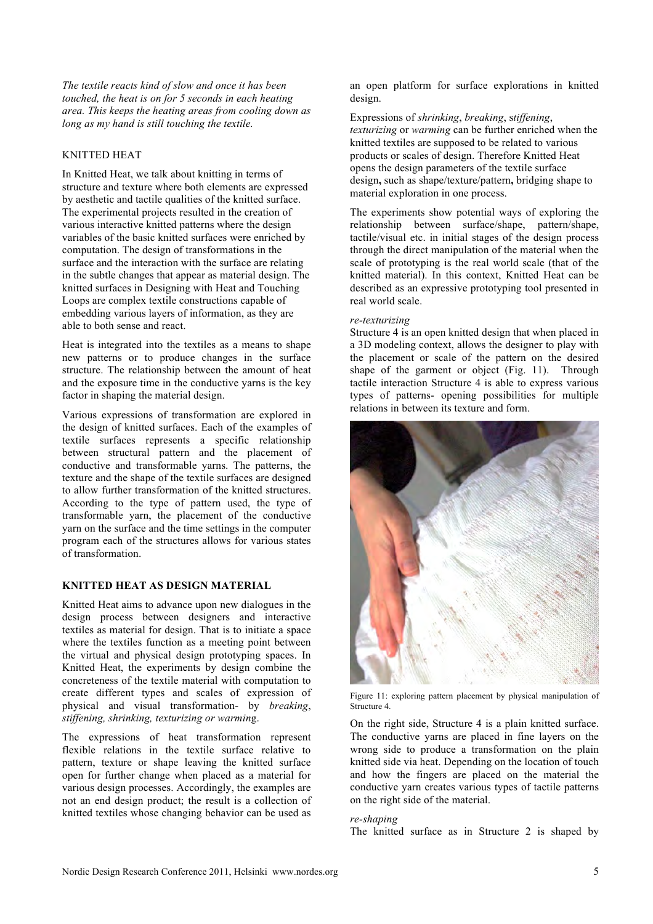*The textile reacts kind of slow and once it has been touched, the heat is on for 5 seconds in each heating area. This keeps the heating areas from cooling down as long as my hand is still touching the textile.* 

## KNITTED HEAT

In Knitted Heat, we talk about knitting in terms of structure and texture where both elements are expressed by aesthetic and tactile qualities of the knitted surface. The experimental projects resulted in the creation of various interactive knitted patterns where the design variables of the basic knitted surfaces were enriched by computation. The design of transformations in the surface and the interaction with the surface are relating in the subtle changes that appear as material design. The knitted surfaces in Designing with Heat and Touching Loops are complex textile constructions capable of embedding various layers of information, as they are able to both sense and react.

Heat is integrated into the textiles as a means to shape new patterns or to produce changes in the surface structure. The relationship between the amount of heat and the exposure time in the conductive yarns is the key factor in shaping the material design.

Various expressions of transformation are explored in the design of knitted surfaces. Each of the examples of textile surfaces represents a specific relationship between structural pattern and the placement of conductive and transformable yarns. The patterns, the texture and the shape of the textile surfaces are designed to allow further transformation of the knitted structures. According to the type of pattern used, the type of transformable yarn, the placement of the conductive yarn on the surface and the time settings in the computer program each of the structures allows for various states of transformation.

## **KNITTED HEAT AS DESIGN MATERIAL**

Knitted Heat aims to advance upon new dialogues in the design process between designers and interactive textiles as material for design. That is to initiate a space where the textiles function as a meeting point between the virtual and physical design prototyping spaces. In Knitted Heat, the experiments by design combine the concreteness of the textile material with computation to create different types and scales of expression of physical and visual transformation- by *breaking*, *stiffening, shrinking, texturizing or warmin*g.

The expressions of heat transformation represent flexible relations in the textile surface relative to pattern, texture or shape leaving the knitted surface open for further change when placed as a material for various design processes. Accordingly, the examples are not an end design product; the result is a collection of knitted textiles whose changing behavior can be used as an open platform for surface explorations in knitted design.

Expressions of *shrinking*, *breaking*, s*tiffening*, *texturizing* or *warming* can be further enriched when the knitted textiles are supposed to be related to various products or scales of design. Therefore Knitted Heat opens the design parameters of the textile surface design**,** such as shape/texture/pattern**,** bridging shape to material exploration in one process.

The experiments show potential ways of exploring the relationship between surface/shape, pattern/shape, tactile/visual etc. in initial stages of the design process through the direct manipulation of the material when the scale of prototyping is the real world scale (that of the knitted material). In this context, Knitted Heat can be described as an expressive prototyping tool presented in real world scale.

#### *re-texturizing*

Structure 4 is an open knitted design that when placed in a 3D modeling context, allows the designer to play with the placement or scale of the pattern on the desired shape of the garment or object (Fig. 11). Through tactile interaction Structure 4 is able to express various types of patterns- opening possibilities for multiple relations in between its texture and form.



Figure 11: exploring pattern placement by physical manipulation of Structure 4.

On the right side, Structure 4 is a plain knitted surface. The conductive yarns are placed in fine layers on the wrong side to produce a transformation on the plain knitted side via heat. Depending on the location of touch and how the fingers are placed on the material the conductive yarn creates various types of tactile patterns on the right side of the material.

#### *re-shaping*

The knitted surface as in Structure 2 is shaped by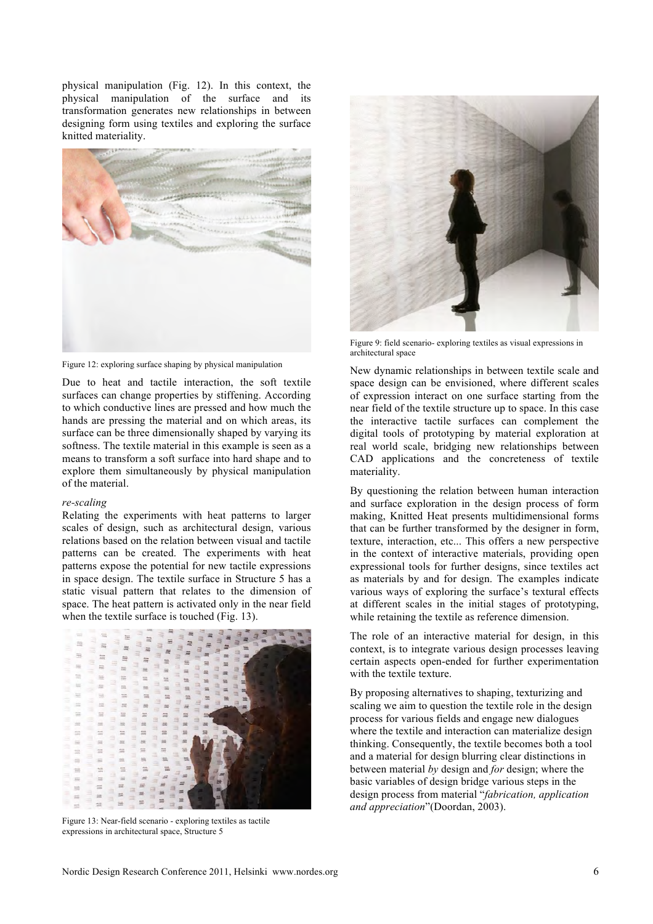physical manipulation (Fig. 12). In this context, the physical manipulation of the surface and its transformation generates new relationships in between designing form using textiles and exploring the surface knitted materiality.



Figure 12: exploring surface shaping by physical manipulation

Due to heat and tactile interaction, the soft textile surfaces can change properties by stiffening. According to which conductive lines are pressed and how much the hands are pressing the material and on which areas, its surface can be three dimensionally shaped by varying its softness. The textile material in this example is seen as a means to transform a soft surface into hard shape and to explore them simultaneously by physical manipulation of the material.

#### *re-scaling*

Relating the experiments with heat patterns to larger scales of design, such as architectural design, various relations based on the relation between visual and tactile patterns can be created. The experiments with heat patterns expose the potential for new tactile expressions in space design. The textile surface in Structure 5 has a static visual pattern that relates to the dimension of space. The heat pattern is activated only in the near field when the textile surface is touched (Fig. 13).



Figure 13: Near-field scenario - exploring textiles as tactile expressions in architectural space, Structure 5



Figure 9: field scenario- exploring textiles as visual expressions in architectural space

New dynamic relationships in between textile scale and space design can be envisioned, where different scales of expression interact on one surface starting from the near field of the textile structure up to space. In this case the interactive tactile surfaces can complement the digital tools of prototyping by material exploration at real world scale, bridging new relationships between CAD applications and the concreteness of textile materiality.

By questioning the relation between human interaction and surface exploration in the design process of form making, Knitted Heat presents multidimensional forms that can be further transformed by the designer in form, texture, interaction, etc... This offers a new perspective in the context of interactive materials, providing open expressional tools for further designs, since textiles act as materials by and for design. The examples indicate various ways of exploring the surface's textural effects at different scales in the initial stages of prototyping, while retaining the textile as reference dimension.

The role of an interactive material for design, in this context, is to integrate various design processes leaving certain aspects open-ended for further experimentation with the textile texture.

By proposing alternatives to shaping, texturizing and scaling we aim to question the textile role in the design process for various fields and engage new dialogues where the textile and interaction can materialize design thinking. Consequently, the textile becomes both a tool and a material for design blurring clear distinctions in between material *by* design and *for* design; where the basic variables of design bridge various steps in the design process from material "*fabrication, application and appreciation*"(Doordan, 2003).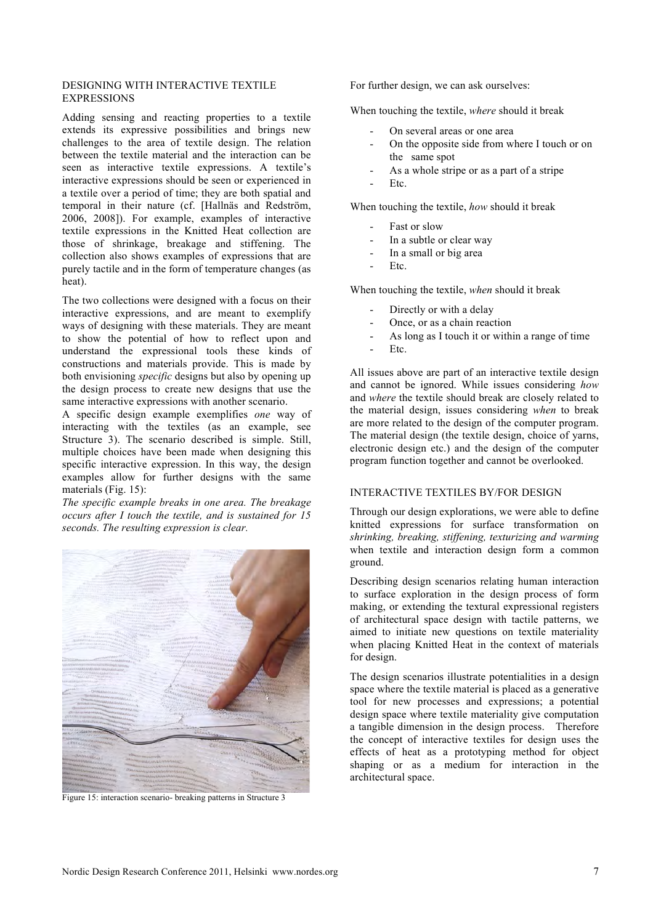## DESIGNING WITH INTERACTIVE TEXTILE EXPRESSIONS

Adding sensing and reacting properties to a textile extends its expressive possibilities and brings new challenges to the area of textile design. The relation between the textile material and the interaction can be seen as interactive textile expressions. A textile's interactive expressions should be seen or experienced in a textile over a period of time; they are both spatial and temporal in their nature (cf. [Hallnäs and Redström, 2006, 2008]). For example, examples of interactive textile expressions in the Knitted Heat collection are those of shrinkage, breakage and stiffening. The collection also shows examples of expressions that are purely tactile and in the form of temperature changes (as heat).

The two collections were designed with a focus on their interactive expressions, and are meant to exemplify ways of designing with these materials. They are meant to show the potential of how to reflect upon and understand the expressional tools these kinds of constructions and materials provide. This is made by both envisioning *specific* designs but also by opening up the design process to create new designs that use the same interactive expressions with another scenario.

A specific design example exemplifies *one* way of interacting with the textiles (as an example, see Structure 3). The scenario described is simple. Still, multiple choices have been made when designing this specific interactive expression. In this way, the design examples allow for further designs with the same materials (Fig. 15):

*The specific example breaks in one area. The breakage occurs after I touch the textile, and is sustained for 15 seconds. The resulting expression is clear.*



Figure 15: interaction scenario- breaking patterns in Structure 3

For further design, we can ask ourselves:

When touching the textile, *where* should it break

- On several areas or one area
- On the opposite side from where I touch or on the same spot
- As a whole stripe or as a part of a stripe
- Etc.

When touching the textile, *how* should it break

- Fast or slow
- In a subtle or clear way
- In a small or big area
- Etc.

When touching the textile, *when* should it break

- Directly or with a delay
- Once, or as a chain reaction
- As long as I touch it or within a range of time
- Etc.

All issues above are part of an interactive textile design and cannot be ignored. While issues considering *how* and *where* the textile should break are closely related to the material design, issues considering *when* to break are more related to the design of the computer program. The material design (the textile design, choice of yarns, electronic design etc.) and the design of the computer program function together and cannot be overlooked.

## INTERACTIVE TEXTILES BY/FOR DESIGN

Through our design explorations, we were able to define knitted expressions for surface transformation on *shrinking, breaking, stiffening, texturizing and warming*  when textile and interaction design form a common ground.

Describing design scenarios relating human interaction to surface exploration in the design process of form making, or extending the textural expressional registers of architectural space design with tactile patterns, we aimed to initiate new questions on textile materiality when placing Knitted Heat in the context of materials for design.

The design scenarios illustrate potentialities in a design space where the textile material is placed as a generative tool for new processes and expressions; a potential design space where textile materiality give computation a tangible dimension in the design process. Therefore the concept of interactive textiles for design uses the effects of heat as a prototyping method for object shaping or as a medium for interaction in the architectural space.